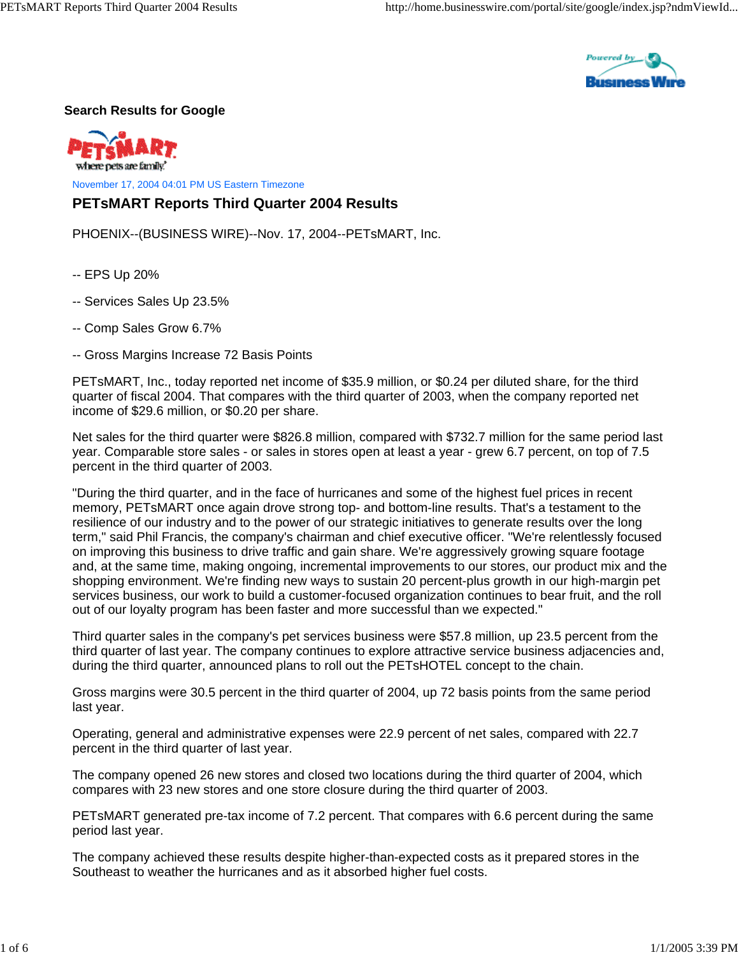

## **Search Results for Google**

vhere nets are family.

November 17, 2004 04:01 PM US Eastern Timezone

## **PETsMART Reports Third Quarter 2004 Results**

PHOENIX--(BUSINESS WIRE)--Nov. 17, 2004--PETsMART, Inc.

- -- EPS Up 20%
- -- Services Sales Up 23.5%
- -- Comp Sales Grow 6.7%
- -- Gross Margins Increase 72 Basis Points

PETsMART, Inc., today reported net income of \$35.9 million, or \$0.24 per diluted share, for the third quarter of fiscal 2004. That compares with the third quarter of 2003, when the company reported net income of \$29.6 million, or \$0.20 per share.

Net sales for the third quarter were \$826.8 million, compared with \$732.7 million for the same period last year. Comparable store sales - or sales in stores open at least a year - grew 6.7 percent, on top of 7.5 percent in the third quarter of 2003.

"During the third quarter, and in the face of hurricanes and some of the highest fuel prices in recent memory, PETsMART once again drove strong top- and bottom-line results. That's a testament to the resilience of our industry and to the power of our strategic initiatives to generate results over the long term," said Phil Francis, the company's chairman and chief executive officer. "We're relentlessly focused on improving this business to drive traffic and gain share. We're aggressively growing square footage and, at the same time, making ongoing, incremental improvements to our stores, our product mix and the shopping environment. We're finding new ways to sustain 20 percent-plus growth in our high-margin pet services business, our work to build a customer-focused organization continues to bear fruit, and the roll out of our loyalty program has been faster and more successful than we expected."

Third quarter sales in the company's pet services business were \$57.8 million, up 23.5 percent from the third quarter of last year. The company continues to explore attractive service business adjacencies and, during the third quarter, announced plans to roll out the PETsHOTEL concept to the chain.

Gross margins were 30.5 percent in the third quarter of 2004, up 72 basis points from the same period last year.

Operating, general and administrative expenses were 22.9 percent of net sales, compared with 22.7 percent in the third quarter of last year.

The company opened 26 new stores and closed two locations during the third quarter of 2004, which compares with 23 new stores and one store closure during the third quarter of 2003.

PETsMART generated pre-tax income of 7.2 percent. That compares with 6.6 percent during the same period last year.

The company achieved these results despite higher-than-expected costs as it prepared stores in the Southeast to weather the hurricanes and as it absorbed higher fuel costs.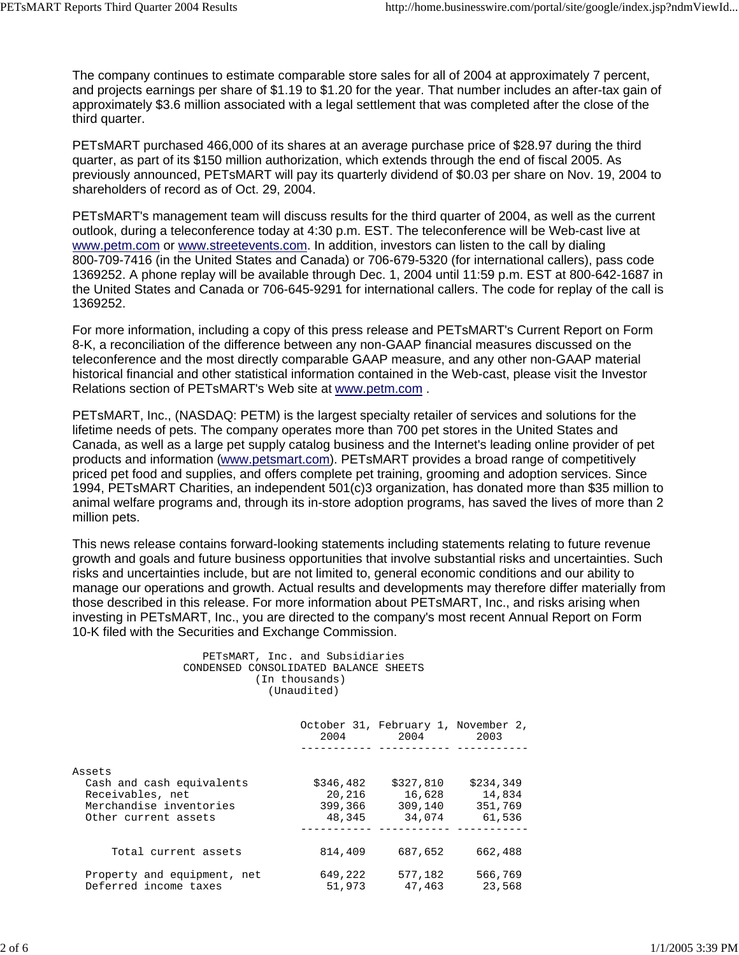The company continues to estimate comparable store sales for all of 2004 at approximately 7 percent, and projects earnings per share of \$1.19 to \$1.20 for the year. That number includes an after-tax gain of approximately \$3.6 million associated with a legal settlement that was completed after the close of the third quarter.

PETsMART purchased 466,000 of its shares at an average purchase price of \$28.97 during the third quarter, as part of its \$150 million authorization, which extends through the end of fiscal 2005. As previously announced, PETsMART will pay its quarterly dividend of \$0.03 per share on Nov. 19, 2004 to shareholders of record as of Oct. 29, 2004.

PETsMART's management team will discuss results for the third quarter of 2004, as well as the current outlook, during a teleconference today at 4:30 p.m. EST. The teleconference will be Web-cast live at www.petm.com or www.streetevents.com. In addition, investors can listen to the call by dialing 800-709-7416 (in the United States and Canada) or 706-679-5320 (for international callers), pass code 1369252. A phone replay will be available through Dec. 1, 2004 until 11:59 p.m. EST at 800-642-1687 in the United States and Canada or 706-645-9291 for international callers. The code for replay of the call is 1369252.

For more information, including a copy of this press release and PETsMART's Current Report on Form 8-K, a reconciliation of the difference between any non-GAAP financial measures discussed on the teleconference and the most directly comparable GAAP measure, and any other non-GAAP material historical financial and other statistical information contained in the Web-cast, please visit the Investor Relations section of PETsMART's Web site at www.petm.com .

PETsMART, Inc., (NASDAQ: PETM) is the largest specialty retailer of services and solutions for the lifetime needs of pets. The company operates more than 700 pet stores in the United States and Canada, as well as a large pet supply catalog business and the Internet's leading online provider of pet products and information (www.petsmart.com). PETsMART provides a broad range of competitively priced pet food and supplies, and offers complete pet training, grooming and adoption services. Since 1994, PETsMART Charities, an independent 501(c)3 organization, has donated more than \$35 million to animal welfare programs and, through its in-store adoption programs, has saved the lives of more than 2 million pets.

This news release contains forward-looking statements including statements relating to future revenue growth and goals and future business opportunities that involve substantial risks and uncertainties. Such risks and uncertainties include, but are not limited to, general economic conditions and our ability to manage our operations and growth. Actual results and developments may therefore differ materially from those described in this release. For more information about PETsMART, Inc., and risks arising when investing in PETsMART, Inc., you are directed to the company's most recent Annual Report on Form 10-K filed with the Securities and Exchange Commission.

> PETsMART, Inc. and Subsidiaries CONDENSED CONSOLIDATED BALANCE SHEETS (In thousands) (Unaudited)

|                             | 2004      | October 31, February 1, November 2,<br>2004 | 2003      |
|-----------------------------|-----------|---------------------------------------------|-----------|
|                             |           |                                             |           |
| Assets                      |           |                                             |           |
| Cash and cash equivalents   | \$346,482 | \$327,810                                   | \$234,349 |
| Receivables, net            | 20,216    | 16,628                                      | 14,834    |
| Merchandise inventories     | 399,366   | 309,140                                     | 351,769   |
| Other current assets        | 48,345    | 34,074                                      | 61,536    |
|                             |           |                                             |           |
| Total current assets        | 814,409   | 687,652                                     | 662,488   |
| Property and equipment, net | 649,222   | 577.182                                     | 566,769   |
| Deferred income taxes       | 51,973    | 47.463                                      | 23,568    |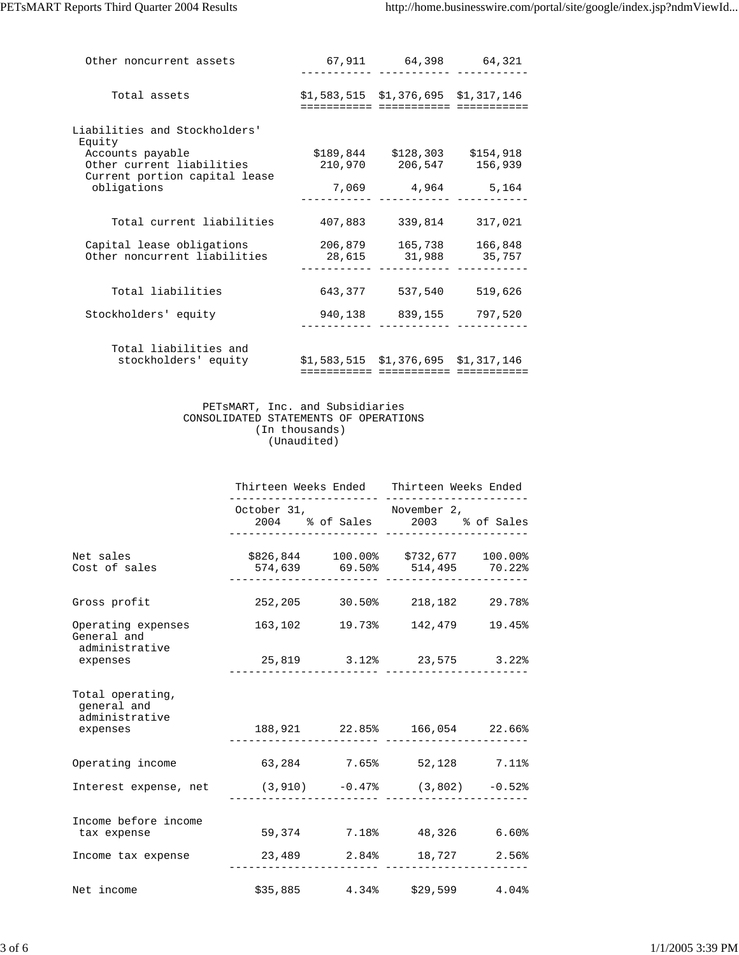| Other noncurrent assets                                                        | 67,911  | 64,398                                              | 64,321            |
|--------------------------------------------------------------------------------|---------|-----------------------------------------------------|-------------------|
| Total assets                                                                   |         | $$1,583,515 \t$1,376,695 \t$1,317,146$              |                   |
| Liabilities and Stockholders'<br>Equity                                        |         |                                                     |                   |
| Accounts payable<br>Other current liabilities<br>Current portion capital lease |         | $$189,844$ $$128,303$ $$154,918$<br>210,970 206,547 | 156,939           |
| obligations                                                                    | 7,069   | 4,964 5,164                                         |                   |
| Total current liabilities                                                      | 407,883 | 339,814                                             | 317,021           |
| Capital lease obligations<br>Other noncurrent liabilities                      | 28,615  | 206,879 165,738<br>31,988                           | 166,848<br>35,757 |
| Total liabilities                                                              |         | 643.377 537.540                                     | 519,626           |
| Stockholders' equity                                                           |         | 940,138 839,155                                     | 797,520           |
| Total liabilities and<br>stockholders' equity                                  |         | $$1,583,515 \t $1,376,695 \t $1,317,146$            |                   |

## PETsMART, Inc. and Subsidiaries CONSOLIDATED STATEMENTS OF OPERATIONS (In thousands) (Unaudited)

|                                                               | Thirteen Weeks Ended Thirteen Weeks Ended                            |  |                                                                      |       |
|---------------------------------------------------------------|----------------------------------------------------------------------|--|----------------------------------------------------------------------|-------|
|                                                               | October 31, November 2,                                              |  | 2004 % of Sales 2003 % of Sales<br>. _ _     _ _ _ _ _ _ _ _ _ _ _ _ |       |
| Net sales<br>Cost of sales                                    | \$826,844 100.00% \$732,677 100.00%<br>574,639 69.50% 514,495 70.22% |  |                                                                      |       |
| Gross profit                                                  |                                                                      |  | 252,205 30.50% 218,182 29.78%                                        |       |
| Operating expenses<br>General and                             |                                                                      |  | 163,102 19.73% 142,479 19.45%                                        |       |
| administrative<br>expenses                                    |                                                                      |  | 25,819 3.12% 23,575 3.22%                                            |       |
| Total operating,<br>general and<br>administrative<br>expenses |                                                                      |  | 188,921 22.85% 166,054 22.66%<br>-----------                         |       |
| Operating income 63,284 7.65% 52,128 7.11%                    |                                                                      |  |                                                                      |       |
| Interest expense, net (3,910) -0.47% (3,802) -0.52%           |                                                                      |  |                                                                      |       |
| Income before income<br>tax expense                           | 59,374 7.18% 48,326 6.60%                                            |  |                                                                      |       |
| Income tax expense $23,489$ $2.84$ $18,727$ $2.56$            |                                                                      |  |                                                                      |       |
| Net income                                                    |                                                                      |  | $$35,885$ 4.34% $$29,599$                                            | 4.04% |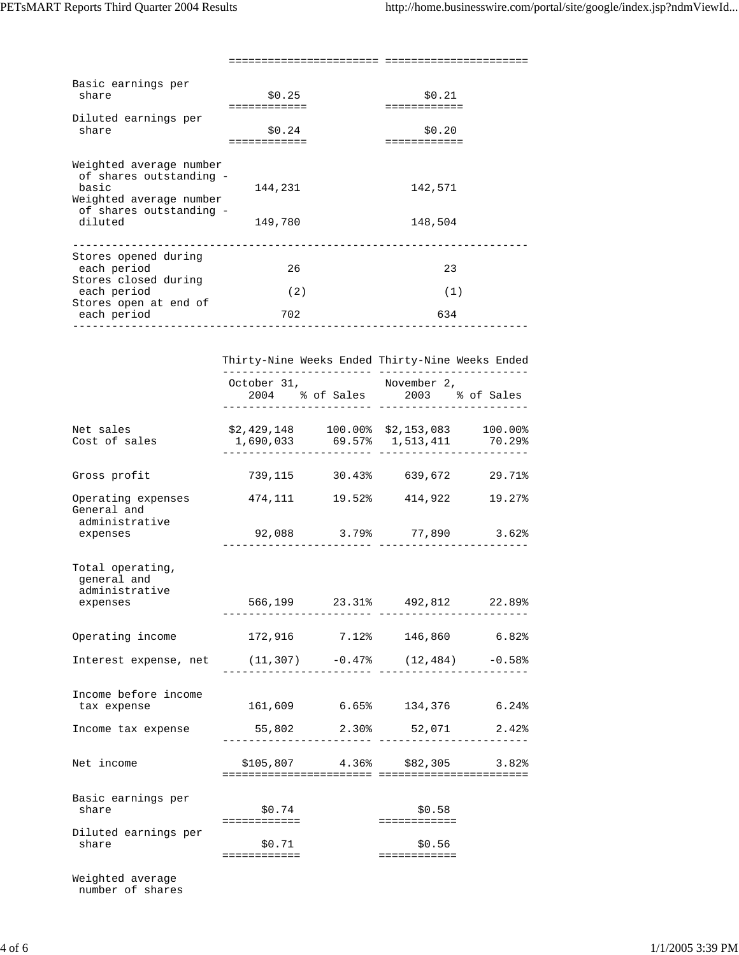======================= ======================

| Basic earnings per<br>share                        | \$0.25  | \$0.21  |
|----------------------------------------------------|---------|---------|
|                                                    |         |         |
|                                                    |         |         |
| Diluted earnings per                               |         |         |
| share                                              | \$0.24  | \$0.20  |
|                                                    |         |         |
|                                                    |         |         |
| Weighted average number<br>of shares outstanding - |         |         |
| basic                                              |         |         |
|                                                    | 144,231 | 142,571 |
| Weighted average number                            |         |         |
| of shares outstanding -                            |         |         |
| diluted                                            | 149,780 | 148,504 |
|                                                    |         |         |
|                                                    |         |         |
| Stores opened during                               |         |         |
| each period                                        | 26      | 23      |
| Stores closed during                               |         |         |
| each period                                        | (2)     | (1)     |
|                                                    |         |         |
| Stores open at end of                              |         |         |
| each period                                        | 702     | 634     |
|                                                    |         |         |

|                                                               | Thirty-Nine Weeks Ended Thirty-Nine Weeks Ended |                                                |       |
|---------------------------------------------------------------|-------------------------------------------------|------------------------------------------------|-------|
|                                                               | October 31,                                     | November 2,<br>2004 % of Sales 2003 % of Sales |       |
| Net sales<br>Cost of sales                                    | ---------------                                 | 1,690,033 69.57% 1,513,411 70.29%              |       |
| Gross profit                                                  |                                                 | 739,115 30.43% 639,672 29.71%                  |       |
| Operating expenses<br>General and                             | 474,111 19.52% 414,922 19.27%                   |                                                |       |
| administrative<br>expenses                                    |                                                 | 92,088 3.79% 77,890 3.62%                      |       |
| Total operating,<br>general and<br>administrative<br>expenses |                                                 | 566,199 23.31% 492,812 22.89%                  |       |
| Operating income                                              |                                                 | 172,916 7.12% 146,860 6.82%                    |       |
| Interest expense, net $(11, 307)$ -0.47% $(12, 484)$ -0.58%   |                                                 |                                                |       |
| Income before income<br>tax expense                           |                                                 | 161,609 6.65% 134,376 6.24%                    |       |
| Income tax expense                                            | 55,802 2.30% 52,071 2.42%                       |                                                |       |
| Net income                                                    |                                                 | $$105,807$ 4.36% \$82,305                      | 3.82% |
| Basic earnings per<br>share                                   | \$0.74<br>============                          | \$0.58                                         |       |
| Diluted earnings per<br>share                                 | \$0.71<br>============                          | \$0.56<br>============                         |       |

Weighted average number of shares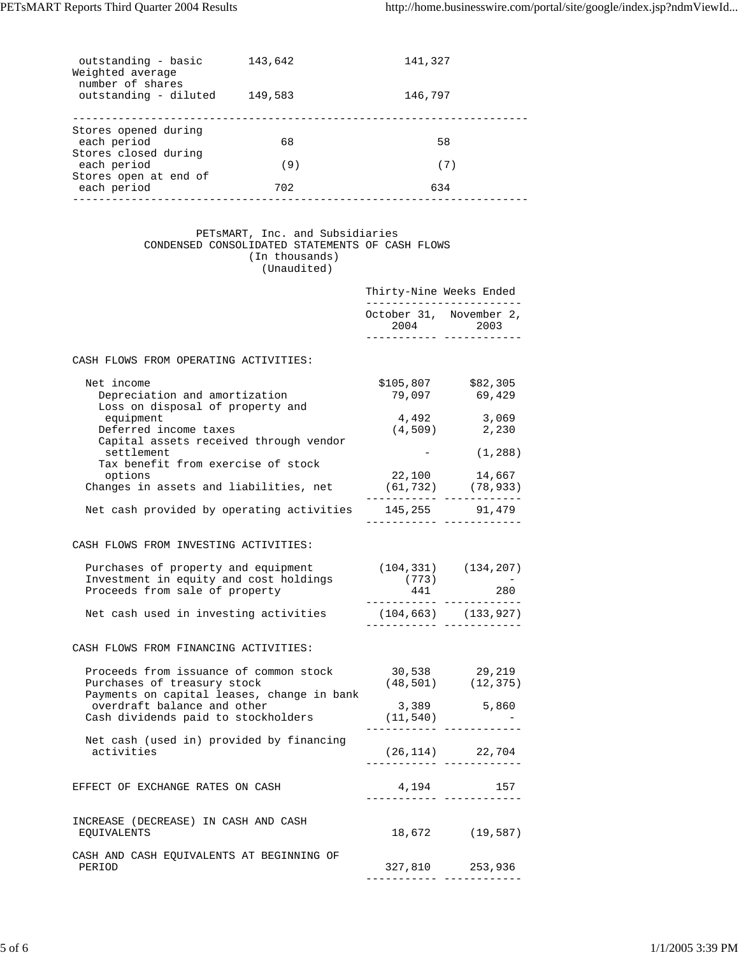| outstanding - basic<br>Weighted average<br>number of shares | 143,642 | 141,327 |  |
|-------------------------------------------------------------|---------|---------|--|
| outstanding - diluted                                       | 149,583 | 146,797 |  |
| Stores opened during                                        |         |         |  |
| each period                                                 | 68      | 58      |  |
| Stores closed during                                        |         |         |  |
| each period                                                 | (9)     | (7)     |  |
| Stores open at end of<br>each period                        | 702     | 634     |  |
|                                                             |         |         |  |

## PETsMART, Inc. and Subsidiaries CONDENSED CONSOLIDATED STATEMENTS OF CASH FLOWS (In thousands) (Unaudited)

|                                                                                                                                   | Thirty-Nine Weeks Ended<br>------------------------- |                                                                                                                                                                                                             |  |
|-----------------------------------------------------------------------------------------------------------------------------------|------------------------------------------------------|-------------------------------------------------------------------------------------------------------------------------------------------------------------------------------------------------------------|--|
|                                                                                                                                   |                                                      | October 31, November 2,<br>2004 2003                                                                                                                                                                        |  |
|                                                                                                                                   |                                                      | ____________________________                                                                                                                                                                                |  |
| CASH FLOWS FROM OPERATING ACTIVITIES:                                                                                             |                                                      |                                                                                                                                                                                                             |  |
| Net income<br>Depreciation and amortization<br>Loss on disposal of property and                                                   |                                                      | \$105,807 \$82,305<br>79,097 69,429                                                                                                                                                                         |  |
| equipment<br>Deferred income taxes<br>Capital assets received through vendor                                                      | 4,492<br>(4, 509)                                    | 3,069<br>2,230                                                                                                                                                                                              |  |
| settlement<br>Tax benefit from exercise of stock                                                                                  |                                                      | (1, 288)                                                                                                                                                                                                    |  |
| options<br>Changes in assets and liabilities, net                                                                                 | 22,100                                               | 14,667<br>$(61, 732)$ $(78, 933)$<br>.                                                                                                                                                                      |  |
| Net cash provided by operating activities                                                                                         |                                                      | 145,255 91,479                                                                                                                                                                                              |  |
| CASH FLOWS FROM INVESTING ACTIVITIES:                                                                                             |                                                      |                                                                                                                                                                                                             |  |
| Purchases of property and equipment<br>Investment in equity and cost holdings<br>Proceeds from sale of property                   | (773)<br>441                                         | $(104, 331)$ $(134, 207)$<br>$\mathcal{L}^{\mathcal{L}}(\mathcal{L}^{\mathcal{L}}(\mathcal{L}^{\mathcal{L}}))$ and $\mathcal{L}^{\mathcal{L}}(\mathcal{L}^{\mathcal{L}}(\mathcal{L}^{\mathcal{L}}))$<br>280 |  |
| Net cash used in investing activities                                                                                             |                                                      | $(104, 663)$ $(133, 927)$                                                                                                                                                                                   |  |
| CASH FLOWS FROM FINANCING ACTIVITIES:                                                                                             |                                                      |                                                                                                                                                                                                             |  |
| Proceeds from issuance of common stock 30,538 29,219<br>Purchases of treasury stock<br>Payments on capital leases, change in bank |                                                      | $(48, 501)$ $(12, 375)$                                                                                                                                                                                     |  |
| overdraft balance and other<br>Cash dividends paid to stockholders                                                                | (11, 540)<br>. _ _ _ _ _ _ _ _ _ _ .                 | 3,389 5,860                                                                                                                                                                                                 |  |
| Net cash (used in) provided by financing<br>activities                                                                            |                                                      | $(26, 114)$ 22,704                                                                                                                                                                                          |  |
| EFFECT OF EXCHANGE RATES ON CASH                                                                                                  | 4,194                                                | 157                                                                                                                                                                                                         |  |
| INCREASE (DECREASE) IN CASH AND CASH<br>EOUIVALENTS                                                                               | 18,672                                               | (19, 587)                                                                                                                                                                                                   |  |
| CASH AND CASH EQUIVALENTS AT BEGINNING OF<br>PERIOD                                                                               |                                                      | 327,810 253,936                                                                                                                                                                                             |  |
|                                                                                                                                   |                                                      |                                                                                                                                                                                                             |  |